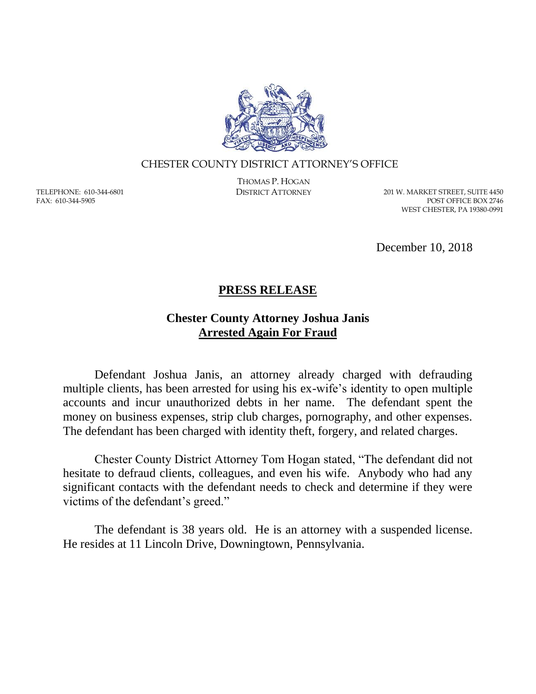

## CHESTER COUNTY DISTRICT ATTORNEY'S OFFICE

TELEPHONE: 610-344-6801 FAX: 610-344-5905

THOMAS P. HOGAN

DISTRICT ATTORNEY 201 W. MARKET STREET, SUITE 4450 POST OFFICE BOX 2746 WEST CHESTER, PA 19380-0991

December 10, 2018

## **PRESS RELEASE**

## **Chester County Attorney Joshua Janis Arrested Again For Fraud**

Defendant Joshua Janis, an attorney already charged with defrauding multiple clients, has been arrested for using his ex-wife's identity to open multiple accounts and incur unauthorized debts in her name. The defendant spent the money on business expenses, strip club charges, pornography, and other expenses. The defendant has been charged with identity theft, forgery, and related charges.

Chester County District Attorney Tom Hogan stated, "The defendant did not hesitate to defraud clients, colleagues, and even his wife. Anybody who had any significant contacts with the defendant needs to check and determine if they were victims of the defendant's greed."

The defendant is 38 years old. He is an attorney with a suspended license. He resides at 11 Lincoln Drive, Downingtown, Pennsylvania.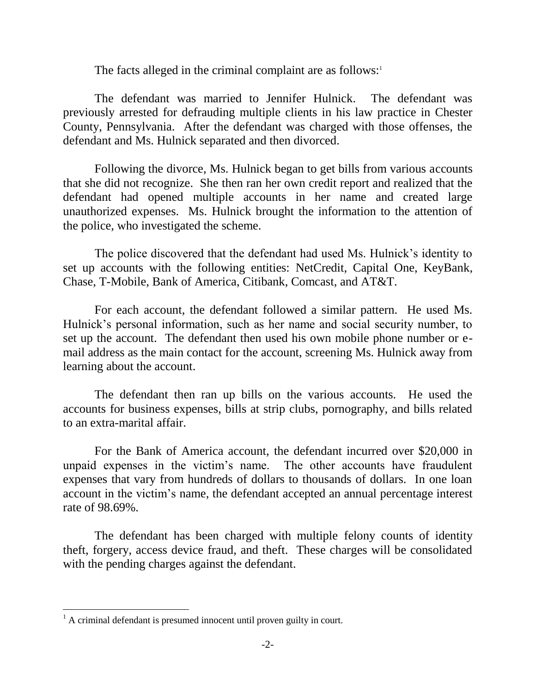The facts alleged in the criminal complaint are as follows: $\frac{1}{1}$ 

The defendant was married to Jennifer Hulnick. The defendant was previously arrested for defrauding multiple clients in his law practice in Chester County, Pennsylvania. After the defendant was charged with those offenses, the defendant and Ms. Hulnick separated and then divorced.

Following the divorce, Ms. Hulnick began to get bills from various accounts that she did not recognize. She then ran her own credit report and realized that the defendant had opened multiple accounts in her name and created large unauthorized expenses. Ms. Hulnick brought the information to the attention of the police, who investigated the scheme.

The police discovered that the defendant had used Ms. Hulnick's identity to set up accounts with the following entities: NetCredit, Capital One, KeyBank, Chase, T-Mobile, Bank of America, Citibank, Comcast, and AT&T.

For each account, the defendant followed a similar pattern. He used Ms. Hulnick's personal information, such as her name and social security number, to set up the account. The defendant then used his own mobile phone number or email address as the main contact for the account, screening Ms. Hulnick away from learning about the account.

The defendant then ran up bills on the various accounts. He used the accounts for business expenses, bills at strip clubs, pornography, and bills related to an extra-marital affair.

For the Bank of America account, the defendant incurred over \$20,000 in unpaid expenses in the victim's name. The other accounts have fraudulent expenses that vary from hundreds of dollars to thousands of dollars. In one loan account in the victim's name, the defendant accepted an annual percentage interest rate of 98.69%.

The defendant has been charged with multiple felony counts of identity theft, forgery, access device fraud, and theft. These charges will be consolidated with the pending charges against the defendant.

 $\overline{a}$ 

 $<sup>1</sup>$  A criminal defendant is presumed innocent until proven guilty in court.</sup>